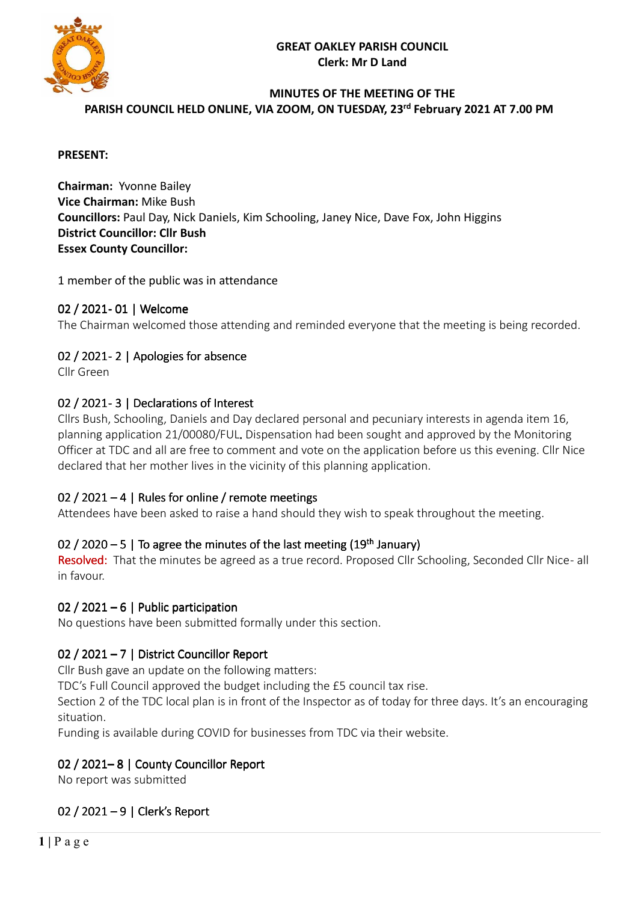

#### **MINUTES OF THE MEETING OF THE PARISH COUNCIL HELD ONLINE, VIA ZOOM, ON TUESDAY, 23 rd February 2021 AT 7.00 PM**

#### **PRESENT:**

**Chairman:** Yvonne Bailey **Vice Chairman:** Mike Bush **Councillors:** Paul Day, Nick Daniels, Kim Schooling, Janey Nice, Dave Fox, John Higgins **District Councillor: Cllr Bush Essex County Councillor:** 

1 member of the public was in attendance

#### 02 / 2021- 01 | Welcome

The Chairman welcomed those attending and reminded everyone that the meeting is being recorded.

#### 02 / 2021-2 | Apologies for absence

Cllr Green

#### 02 / 2021-3 | Declarations of Interest

Cllrs Bush, Schooling, Daniels and Day declared personal and pecuniary interests in agenda item 16, planning application 21/00080/FUL. Dispensation had been sought and approved by the Monitoring Officer at TDC and all are free to comment and vote on the application before us this evening. Cllr Nice declared that her mother lives in the vicinity of this planning application.

# 02 / 2021 – 4 | Rules for online / remote meetings

Attendees have been asked to raise a hand should they wish to speak throughout the meeting.

#### 02 / 2020  $-5$  | To agree the minutes of the last meeting (19<sup>th</sup> January)

Resolved: That the minutes be agreed as a true record. Proposed Cllr Schooling, Seconded Cllr Nice- all in favour.

#### 02 / 2021 – 6 | Public participation

No questions have been submitted formally under this section.

# 02 / 2021 – 7 | District Councillor Report

Cllr Bush gave an update on the following matters:

TDC's Full Council approved the budget including the £5 council tax rise.

Section 2 of the TDC local plan is in front of the Inspector as of today for three days. It's an encouraging situation.

Funding is available during COVID for businesses from TDC via their website.

#### 02 / 2021–8 | County Councillor Report

No report was submitted

# 02 / 2021 – 9 | Clerk's Report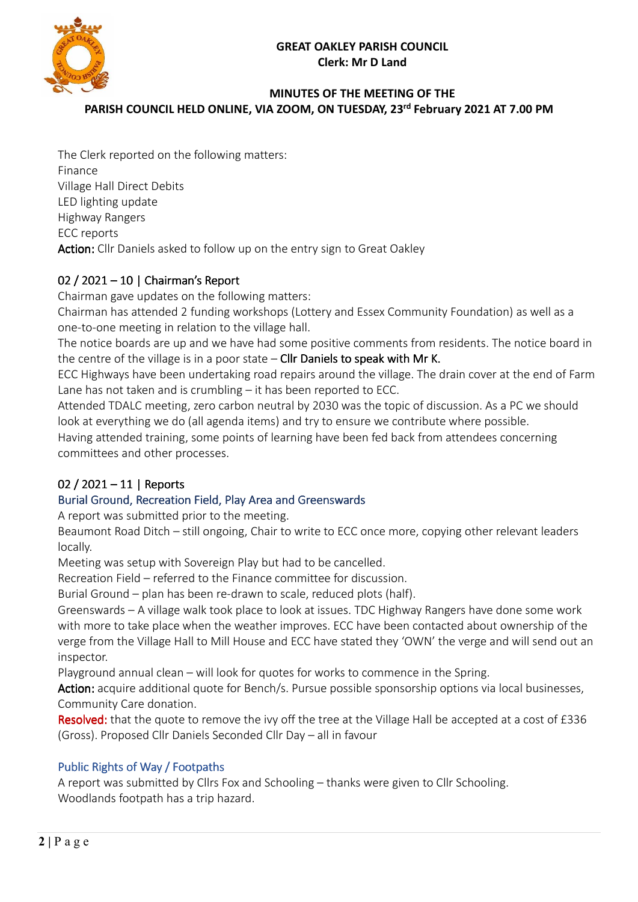

### **MINUTES OF THE MEETING OF THE PARISH COUNCIL HELD ONLINE, VIA ZOOM, ON TUESDAY, 23 rd February 2021 AT 7.00 PM**

The Clerk reported on the following matters: Finance Village Hall Direct Debits LED lighting update Highway Rangers ECC reports Action: Cllr Daniels asked to follow up on the entry sign to Great Oakley

# 02 / 2021 – 10 | Chairman's Report

Chairman gave updates on the following matters:

Chairman has attended 2 funding workshops (Lottery and Essex Community Foundation) as well as a one-to-one meeting in relation to the village hall.

The notice boards are up and we have had some positive comments from residents. The notice board in the centre of the village is in a poor state – Cllr Daniels to speak with Mr K.

ECC Highways have been undertaking road repairs around the village. The drain cover at the end of Farm Lane has not taken and is crumbling – it has been reported to ECC.

Attended TDALC meeting, zero carbon neutral by 2030 was the topic of discussion. As a PC we should look at everything we do (all agenda items) and try to ensure we contribute where possible.

Having attended training, some points of learning have been fed back from attendees concerning committees and other processes.

# 02 / 2021 – 11 | Reports

# Burial Ground, Recreation Field, Play Area and Greenswards

A report was submitted prior to the meeting.

Beaumont Road Ditch – still ongoing, Chair to write to ECC once more, copying other relevant leaders locally.

Meeting was setup with Sovereign Play but had to be cancelled.

Recreation Field – referred to the Finance committee for discussion.

Burial Ground – plan has been re-drawn to scale, reduced plots (half).

Greenswards – A village walk took place to look at issues. TDC Highway Rangers have done some work with more to take place when the weather improves. ECC have been contacted about ownership of the verge from the Village Hall to Mill House and ECC have stated they 'OWN' the verge and will send out an inspector.

Playground annual clean – will look for quotes for works to commence in the Spring.

Action: acquire additional quote for Bench/s. Pursue possible sponsorship options via local businesses, Community Care donation.

Resolved: that the quote to remove the ivy off the tree at the Village Hall be accepted at a cost of £336 (Gross). Proposed Cllr Daniels Seconded Cllr Day – all in favour

# Public Rights of Way / Footpaths

A report was submitted by Cllrs Fox and Schooling – thanks were given to Cllr Schooling. Woodlands footpath has a trip hazard.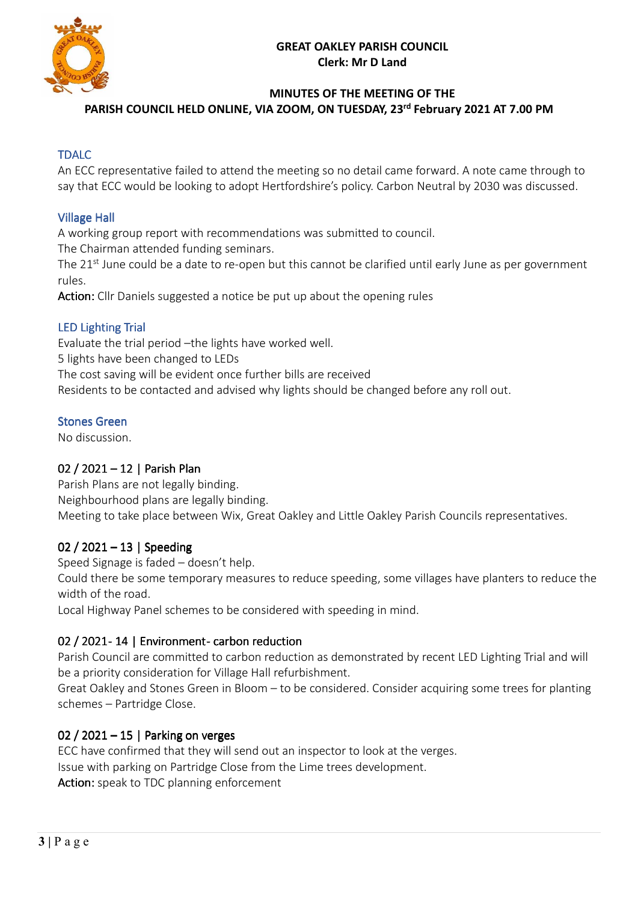

#### **MINUTES OF THE MEETING OF THE**

**PARISH COUNCIL HELD ONLINE, VIA ZOOM, ON TUESDAY, 23 rd February 2021 AT 7.00 PM** 

### TDALC

An ECC representative failed to attend the meeting so no detail came forward. A note came through to say that ECC would be looking to adopt Hertfordshire's policy. Carbon Neutral by 2030 was discussed.

#### **Village Hall**

A working group report with recommendations was submitted to council.

The Chairman attended funding seminars.

The 21<sup>st</sup> June could be a date to re-open but this cannot be clarified until early June as per government rules.

Action: Cllr Daniels suggested a notice be put up about the opening rules

#### LED Lighting Trial

Evaluate the trial period –the lights have worked well. 5 lights have been changed to LEDs The cost saving will be evident once further bills are received Residents to be contacted and advised why lights should be changed before any roll out.

#### Stones Green

No discussion.

#### 02 / 2021 – 12 | Parish Plan

Parish Plans are not legally binding. Neighbourhood plans are legally binding. Meeting to take place between Wix, Great Oakley and Little Oakley Parish Councils representatives.

#### 02 / 2021 – 13 | Speeding

Speed Signage is faded – doesn't help.

Could there be some temporary measures to reduce speeding, some villages have planters to reduce the width of the road.

Local Highway Panel schemes to be considered with speeding in mind.

#### 02 / 2021 - 14 | Environment - carbon reduction

Parish Council are committed to carbon reduction as demonstrated by recent LED Lighting Trial and will be a priority consideration for Village Hall refurbishment.

Great Oakley and Stones Green in Bloom – to be considered. Consider acquiring some trees for planting schemes – Partridge Close.

#### 02 / 2021 – 15 | Parking on verges

ECC have confirmed that they will send out an inspector to look at the verges. Issue with parking on Partridge Close from the Lime trees development. Action: speak to TDC planning enforcement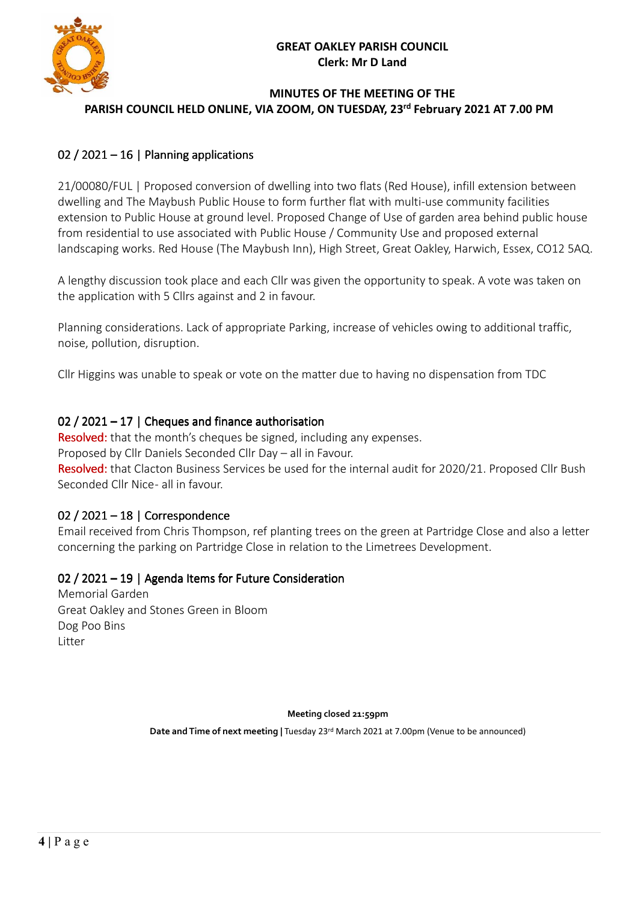

#### **MINUTES OF THE MEETING OF THE PARISH COUNCIL HELD ONLINE, VIA ZOOM, ON TUESDAY, 23 rd February 2021 AT 7.00 PM**

# 02 / 2021 – 16 | Planning applications

21/00080/FUL | Proposed conversion of dwelling into two flats (Red House), infill extension between dwelling and The Maybush Public House to form further flat with multi-use community facilities extension to Public House at ground level. Proposed Change of Use of garden area behind public house from residential to use associated with Public House / Community Use and proposed external landscaping works. Red House (The Maybush Inn), High Street, Great Oakley, Harwich, Essex, CO12 5AQ.

A lengthy discussion took place and each Cllr was given the opportunity to speak. A vote was taken on the application with 5 Cllrs against and 2 in favour.

Planning considerations. Lack of appropriate Parking, increase of vehicles owing to additional traffic, noise, pollution, disruption.

Cllr Higgins was unable to speak or vote on the matter due to having no dispensation from TDC

# 02 / 2021 – 17 | Cheques and finance authorisation

Resolved: that the month's cheques be signed, including any expenses.

Proposed by Cllr Daniels Seconded Cllr Day – all in Favour.

Resolved: that Clacton Business Services be used for the internal audit for 2020/21. Proposed Cllr Bush Seconded Cllr Nice - all in favour.

# 02 / 2021 – 18 | Correspondence

Email received from Chris Thompson, ref planting trees on the green at Partridge Close and also a letter concerning the parking on Partridge Close in relation to the Limetrees Development.

# 02 / 2021 – 19 | Agenda Items for Future Consideration

Memorial Garden Great Oakley and Stones Green in Bloom Dog Poo Bins **Litter** 

**Meeting closed 21:59pm** 

**Date and Time of next meeting |** Tuesday 23rd March 2021 at 7.00pm (Venue to be announced)